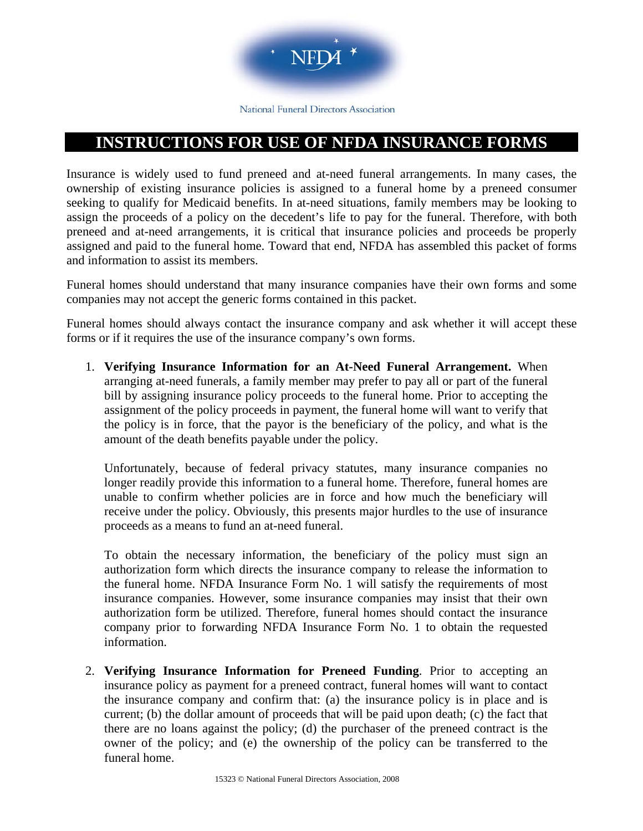

National Funeral Directors Association

## **INSTRUCTIONS FOR USE OF NFDA INSURANCE FORMS**

Insurance is widely used to fund preneed and at-need funeral arrangements. In many cases, the ownership of existing insurance policies is assigned to a funeral home by a preneed consumer seeking to qualify for Medicaid benefits. In at-need situations, family members may be looking to assign the proceeds of a policy on the decedent's life to pay for the funeral. Therefore, with both preneed and at-need arrangements, it is critical that insurance policies and proceeds be properly assigned and paid to the funeral home. Toward that end, NFDA has assembled this packet of forms and information to assist its members.

Funeral homes should understand that many insurance companies have their own forms and some companies may not accept the generic forms contained in this packet.

Funeral homes should always contact the insurance company and ask whether it will accept these forms or if it requires the use of the insurance company's own forms.

1. **Verifying Insurance Information for an At-Need Funeral Arrangement.** When arranging at-need funerals, a family member may prefer to pay all or part of the funeral bill by assigning insurance policy proceeds to the funeral home. Prior to accepting the assignment of the policy proceeds in payment, the funeral home will want to verify that the policy is in force, that the payor is the beneficiary of the policy, and what is the amount of the death benefits payable under the policy.

Unfortunately, because of federal privacy statutes, many insurance companies no longer readily provide this information to a funeral home. Therefore, funeral homes are unable to confirm whether policies are in force and how much the beneficiary will receive under the policy. Obviously, this presents major hurdles to the use of insurance proceeds as a means to fund an at-need funeral.

To obtain the necessary information, the beneficiary of the policy must sign an authorization form which directs the insurance company to release the information to the funeral home. NFDA Insurance Form No. 1 will satisfy the requirements of most insurance companies. However, some insurance companies may insist that their own authorization form be utilized. Therefore, funeral homes should contact the insurance company prior to forwarding NFDA Insurance Form No. 1 to obtain the requested information.

2. **Verifying Insurance Information for Preneed Funding**. Prior to accepting an insurance policy as payment for a preneed contract, funeral homes will want to contact the insurance company and confirm that: (a) the insurance policy is in place and is current; (b) the dollar amount of proceeds that will be paid upon death; (c) the fact that there are no loans against the policy; (d) the purchaser of the preneed contract is the owner of the policy; and (e) the ownership of the policy can be transferred to the funeral home.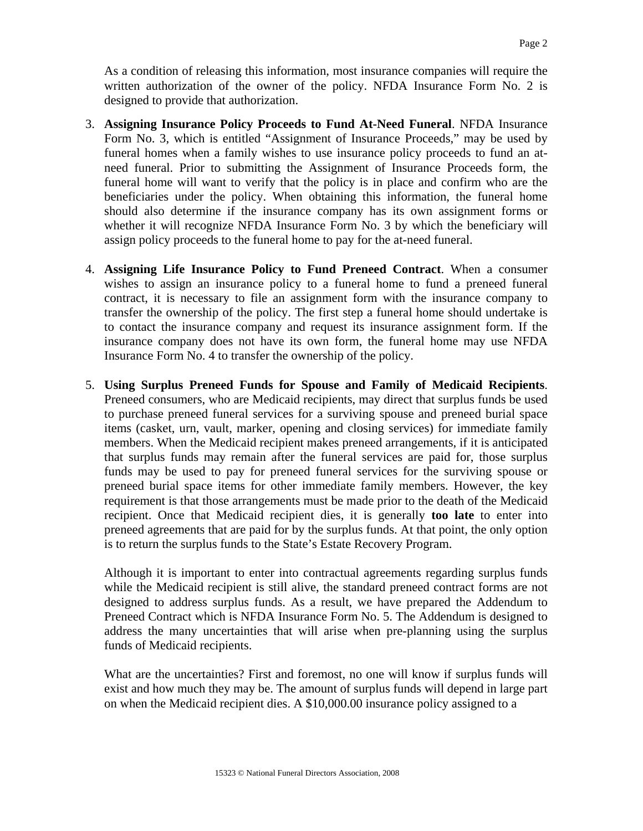As a condition of releasing this information, most insurance companies will require the written authorization of the owner of the policy. NFDA Insurance Form No. 2 is designed to provide that authorization.

- 3. **Assigning Insurance Policy Proceeds to Fund At-Need Funeral**. NFDA Insurance Form No. 3, which is entitled "Assignment of Insurance Proceeds," may be used by funeral homes when a family wishes to use insurance policy proceeds to fund an atneed funeral. Prior to submitting the Assignment of Insurance Proceeds form, the funeral home will want to verify that the policy is in place and confirm who are the beneficiaries under the policy. When obtaining this information, the funeral home should also determine if the insurance company has its own assignment forms or whether it will recognize NFDA Insurance Form No. 3 by which the beneficiary will assign policy proceeds to the funeral home to pay for the at-need funeral.
- 4. **Assigning Life Insurance Policy to Fund Preneed Contract**. When a consumer wishes to assign an insurance policy to a funeral home to fund a preneed funeral contract, it is necessary to file an assignment form with the insurance company to transfer the ownership of the policy. The first step a funeral home should undertake is to contact the insurance company and request its insurance assignment form. If the insurance company does not have its own form, the funeral home may use NFDA Insurance Form No. 4 to transfer the ownership of the policy.
- 5. **Using Surplus Preneed Funds for Spouse and Family of Medicaid Recipients**. Preneed consumers, who are Medicaid recipients, may direct that surplus funds be used to purchase preneed funeral services for a surviving spouse and preneed burial space items (casket, urn, vault, marker, opening and closing services) for immediate family members. When the Medicaid recipient makes preneed arrangements, if it is anticipated that surplus funds may remain after the funeral services are paid for, those surplus funds may be used to pay for preneed funeral services for the surviving spouse or preneed burial space items for other immediate family members. However, the key requirement is that those arrangements must be made prior to the death of the Medicaid recipient. Once that Medicaid recipient dies, it is generally **too late** to enter into preneed agreements that are paid for by the surplus funds. At that point, the only option is to return the surplus funds to the State's Estate Recovery Program.

Although it is important to enter into contractual agreements regarding surplus funds while the Medicaid recipient is still alive, the standard preneed contract forms are not designed to address surplus funds. As a result, we have prepared the Addendum to Preneed Contract which is NFDA Insurance Form No. 5. The Addendum is designed to address the many uncertainties that will arise when pre-planning using the surplus funds of Medicaid recipients.

What are the uncertainties? First and foremost, no one will know if surplus funds will exist and how much they may be. The amount of surplus funds will depend in large part on when the Medicaid recipient dies. A \$10,000.00 insurance policy assigned to a